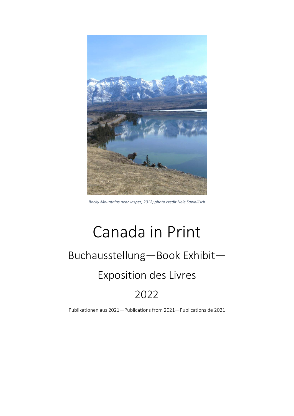

*Rocky Mountains near Jasper, 2012; photo credit Nele Sawallisch*

# Canada in Print Buchausstellung—Book Exhibit— Exposition des Livres

# 2022

Publikationen aus 2021—Publications from 2021—Publications de 2021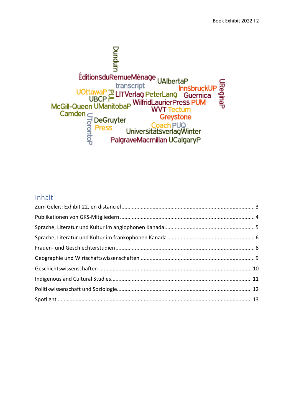

#### Inhalt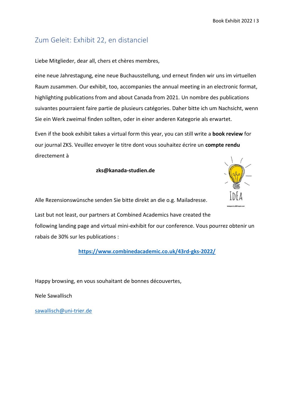# <span id="page-2-0"></span>Zum Geleit: Exhibit 22, en distanciel

Liebe Mitglieder, dear all, chers et chères membres,

eine neue Jahrestagung, eine neue Buchausstellung, und erneut finden wir uns im virtuellen Raum zusammen. Our exhibit, too, accompanies the annual meeting in an electronic format, highlighting publications from and about Canada from 2021. Un nombre des publications suivantes pourraient faire partie de plusieurs catégories. Daher bitte ich um Nachsicht, wenn Sie ein Werk zweimal finden sollten, oder in einer anderen Kategorie als erwartet.

Even if the book exhibit takes a virtual form this year, you can still write a **book review** for our journal ZKS. Veuillez envoyer le titre dont vous souhaitez écrire un **compte rendu** directement à

**zks@kanada-studien.de**



Alle Rezensionswünsche senden Sie bitte direkt an die o.g. Mailadresse.

Last but not least, our partners at Combined Academics have created the following landing page and virtual mini-exhibit for our conference. Vous pourrez obtenir un rabais de 30% sur les publications :

**<https://www.combinedacademic.co.uk/43rd-gks-2022/>**

Happy browsing, en vous souhaitant de bonnes découvertes,

Nele Sawallisch

[sawallisch@uni-trier.de](mailto:sawallisch@uni-trier.de)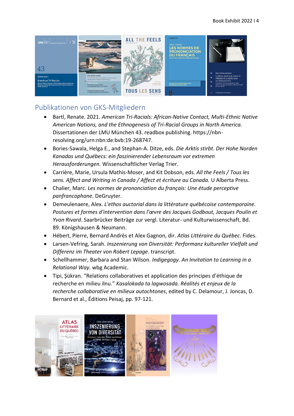

# <span id="page-3-0"></span>Publikationen von GKS-Mitgliedern

- Bartl, Renate. 2021. *American Tri-Racials: African-Native Contact, Multi-Ethnic Native American Nations, and the Ethnogenesis of Tri-Racial Groups in North America.*  Dissertationen der LMU München 43. readbox publishing. https://nbnresolving.org/urn:nbn:de:bvb:19-268747.
- Bories-Sawala, Helga E., and Stephan-A. Ditze, eds. *Die Arktis stirbt. Der Hohe Norden Kanadas und Québecs: ein faszinierender Lebensraum vor extremen Herausforderungen.* Wissenschaftlicher Verlag Trier.
- Carrière, Marie, Ursula Mathis-Moser, and Kit Dobson, eds. *All the Feels / Tous les sens. Affect and Writing in Canada / Affect et écriture au Canada.* U Alberta Press.
- Chalier, Marc. *Les normes de prononciation du français: Une étude perceptive panfrancophone*. DeGruyter.
- Demeulenaere, Alex. *L'ethos auctorial dans la littérature québécoise contemporaine. Postures et formes d'intervention dans l'œvre des Jacques Godbout, Jacques Poulin et Yvon Rivard*. Saarbrücker Beiträge zur vergl. Literatur- und Kulturwissenschaft, Bd. 89. Königshausen & Neumann.
- Hébert, Pierre, Bernard Andrès et Alex Gagnon, dir. *Atlas Littéraire du Québec*. Fides.
- Larsen-Vefring, Sarah. *Inszenierung von Diversität: Performanz kultureller Vielfalt und Differenz im Theater von Robert Lepage*. transcript.
- Schellhammer, Barbara and Stan Wilson. *Indigegogy. An Invitation to Learning in a Relational Way.* wbg Academic.
- Tipi, Şükran. "Relations collaboratives et application des principes d'éthique de recherche en milieu ilnu." *Kasalokada ta lagwosada. Réalités et enjeux de la recherche collaborative en milieux autochtones*, edited by C. Delamour, J. Joncas, D. Bernard et al., Éditions Peisaj, pp. 97-121.

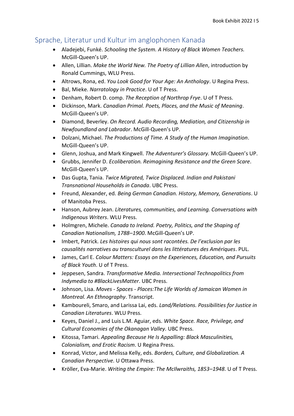#### <span id="page-4-0"></span>Sprache, Literatur und Kultur im anglophonen Kanada

- Aladejebi, Funké. *Schooling the System. A History of Black Women Teachers.* McGill-Queen's UP.
- Allen, Lillian. *Make the World New. The Poetry of Lillian Allen*, introduction by Ronald Cummings, WLU Press.
- Altrows, Rona, ed. *You Look Good for Your Age: An Anthology*. U Regina Press.
- Bal, Mieke. *Narratology in Practice*. U of T Press.
- Denham, Robert D. comp. *The Reception of Northrop Frye*. U of T Press.
- Dickinson, Mark. *Canadian Primal. Poets, Places, and the Music of Meaning*. McGill-Queen's UP.
- Diamond, Beverley. *On Record. Audio Recording, Mediation, and Citizenship in Newfoundland and Labrador*. McGill-Queen's UP.
- Dolzani, Michael. *The Productions of Time. A Study of the Human Imagination*. McGill-Queen's UP.
- Glenn, Joshua, and Mark Kingwell. *The Adventurer's Glossary.* McGill-Queen's UP.
- Grubbs, Jennifer D. *Ecoliberation. Reimagining Resistance and the Green Scare*. McGill-Queen's UP.
- Das Gupta, Tania. *Twice Migrated, Twice Displaced. Indian and Pakistani Transnational Households in Canada*. UBC Press.
- Freund, Alexander, ed. *Being German Canadian. History, Memory, Generations*. U of Manitoba Press.
- Hanson, Aubrey Jean. *Literatures, communities, and Learning. Conversations with Indigenous Writers*. WLU Press.
- Holmgren, Michele. *Canada to Ireland. Poetry, Politics, and the Shaping of Canadian Nationalism, 1788–1900*. McGill-Queen's UP.
- Imbert, Patrick. *Les histoires qui nous sont racontées. De l'exclusion par les causalités narratives au transculturel dans les littératures des Amériques*. PUL.
- James, Carl E. *Colour Matters: Essays on the Experiences, Education, and Pursuits of Black Youth*. U of T Press.
- Jeppesen, Sandra. *Transformative Media. Intersectional Technopolitics from Indymedia to #BlackLivesMatter*. UBC Press.
- Johnson, Lisa. *Moves - Spaces - Places:The Life Worlds of Jamaican Women in Montreal. An Ethnography*. Transcript.
- Kamboureli, Smaro, and Larissa Lai, eds. *Land/Relations. Possibilities for Justice in Canadian Literatures*. WLU Press.
- Keyes, Daniel J., and Luis L.M. Aguiar, eds. *White Space. Race, Privilege, and Cultural Economies of the Okanagan Valley.* UBC Press.
- Kitossa, Tamari. *Appealing Because He Is Appalling: Black Masculinities, Colonialism, and Erotic Racism*. U Regina Press.
- Konrad, Victor, and Melissa Kelly, eds. *Borders, Culture, and Globalization. A Canadian Perspective.* U Ottawa Press.
- Kröller, Eva-Marie. *Writing the Empire: The McIlwraiths, 1853–1948*. U of T Press.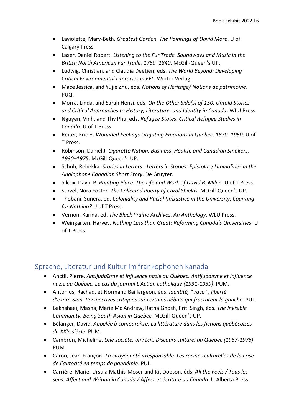- Laviolette, Mary-Beth. *Greatest Garden. The Paintings of David More*. U of Calgary Press.
- Laxer, Daniel Robert. *Listening to the Fur Trade. Soundways and Music in the British North American Fur Trade, 1760–1840*. McGill-Queen's UP.
- Ludwig, Christian, and Claudia Deetjen, eds. *The World Beyond: Developing Critical Environmental Literacies in EFL*. Winter Verlag.
- Mace Jessica, and Yujie Zhu, eds. *Notions of Heritage/ Notions de patrimoine*. PUQ.
- Morra, Linda, and Sarah Henzi, eds. *On the Other Side(s) of 150. Untold Stories and Critical Approaches to History, Literature, and Identity in Canada*. WLU Press.
- Nguyen, Vinh, and Thy Phu, eds. *Refugee States. Critical Refugee Studies in Canada.* U of T Press.
- Reiter, Eric H. *Wounded Feelings Litigating Emotions in Quebec, 1870–1950*. U of T Press.
- Robinson, Daniel J. *Cigarette Nation. Business, Health, and Canadian Smokers, 1930–1975*. McGill-Queen's UP.
- Schuh, Rebekka. *Stories in Letters - Letters in Stories: Epistolary Liminalities in the Anglophone Canadian Short Story*. De Gruyter.
- Silcox, David P. *Painting Place. The Life and Work of David B. Milne.* U of T Press.
- Stovel, Nora Foster. *The Collected Poetry of Carol Shields*. McGill-Queen's UP.
- Thobani, Sunera, ed. *Coloniality and Racial (In)Justice in the University: Counting for Nothing?* U of T Press.
- Vernon, Karina, ed. *The Black Prairie Archives. An Anthology*. WLU Press.
- Weingarten, Harvey. *Nothing Less than Great: Reforming Canada's Universities*. U of T Press.

#### <span id="page-5-0"></span>Sprache, Literatur und Kultur im frankophonen Kanada

- Anctil, Pierre. *Antijudaïsme et influence nazie au Québec. Antijudaïsme et influence nazie au Québec. Le cas du journal L'Action catholique (1931-1939)*. PUM.
- Antonius, Rachad, et Normand Baillargeon, éds. *Identité, " race ", liberté d'expression. Perspectives critiques sur certains débats qui fracturent la gauche*. PUL.
- Bakhshaei, Masha, Marie Mc Andrew, Ratna Ghosh, Priti Singh, éds. *The Invisible Community. Being South Asian in Quebec.* McGill-Queen's UP.
- Bélanger, David. *Appelée à comparaître. La littérature dans les fictions québécoises du XXIe siècle*. PUM.
- Cambron, Micheline. *Une sociéte, un récit. Discours culturel au Québec (1967-1976)*. PUM.
- Caron, Jean-François. *La citoyenneté irresponsable. Les racines culturelles de la crise de l'autorité en temps de pandémie*. PUL.
- Carrière, Marie, Ursula Mathis-Moser and Kit Dobson, éds. *All the Feels / Tous les sens. Affect and Writing in Canada / Affect et écriture au Canada*. U Alberta Press.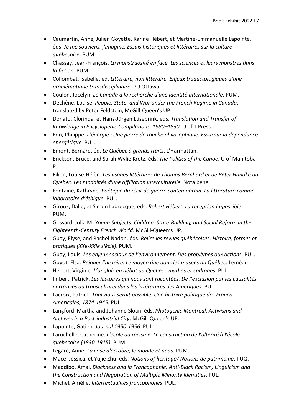- Caumartin, Anne, Julien Goyette, Karine Hébert, et Martine-Emmanuelle Lapointe, éds. *Je me souviens, j'imagine. Essais historiques et littéraires sur la culture québécoise*. PUM.
- Chassay, Jean-François. *La monstruosité en face. Les sciences et leurs monstres dans la fiction.* PUM.
- Collombat, Isabelle, éd. *Littéraire, non littéraire. Enjeux traductologiques d'une problématique transdisciplinaire*. PU Ottawa.
- Coulon, Jocelyn. *Le Canada à la recherche d'une identité internationale*. PUM.
- Dechêne, Louise. *People, State, and War under the French Regime in Canada*, translated by Peter Feldstein, McGill-Queen's UP.
- Donato, Clorinda, et Hans-Jürgen Lüsebrink, eds. *Translation and Transfer of Knowledge in Encyclopedic Compilations, 1680–1830.* U of T Press.
- Eon, Philippe. *L'énergie : Une pierre de touche philosophique. Essai sur la dépendance énergétique.* PUL.
- Emont, Bernard, éd. *Le Québec à grands traits*. L'Harmattan.
- Erickson, Bruce, and Sarah Wylie Krotz, éds. *The Politics of the Canoe*. U of Manitoba P.
- Filion, Louise-Hélèn. *Les usages littéraires de Thomas Bernhard et de Peter Handke au Québec. Les modalités d'une affiliation interculturelle*. Nota bene.
- Fontaine, Kathryne. *Poétique du récit de guerre contemporain. La littérature comme laboratoire d'éthique*. PUL.
- Giroux, Dalie, et Simon Labrecque, éds. *Robert Hébert. La réception impossible*. PUM.
- Gossard, Julia M. *Young Subjects. Children, State-Building, and Social Reform in the Eighteenth-Century French World*. McGill-Queen's UP.
- Guay, Élyse, and Rachel Nadon, éds. *Relire les revues québécoises. Histoire, formes et pratiques (XXe-XXIe siècle)*. PUM.
- Guay, Louis. *Les enjeux sociaux de l'environnement. Des problèmes aux actions*. PUL.
- Guyot, Elsa. *Rejouer l'histoire. Le moyen âge dans les musées du Québec*. Leméac.
- Hébert, Virginie. *L'anglais en débat au Québec : mythes et cadrages*. PUL.
- Imbert, Patrick. *Les histoires qui nous sont racontées. De l'exclusion par les causalités narratives au transculturel dans les littératures des Amériques*. PUL.
- Lacroix, Patrick. *Tout nous serait possible. Une histoire politique des Franco-Américains, 1874-1945*. PUL.
- Langford, Martha and Johanne Sloan, éds. *Photogenic Montreal. Activisms and Archives in a Post-industrial City*. McGill-Queen's UP.
- Lapointe, Gatien. *Journal 1950-1956*. PUL.
- Larochelle, Catherine. *L'école du racisme. La construction de l'altérité à l'école québécoise (1830-1915)*. PUM.
- Legaré, Anne. *La crise d'octobre, le monde et nous*. PUM.
- Mace, Jessica, et Yujie Zhu, éds. *Notions of heritage/ Notions de patrimoine*. PUQ.
- Maddibo, Amal. *Blackness and la Francophonie: Anti-Black Racism, Linguicism and the Construction and Negotiation of Multiple Minority Identities*. PUL.
- Michel*,* Amélie. *Intertextualités francophones*. PUL.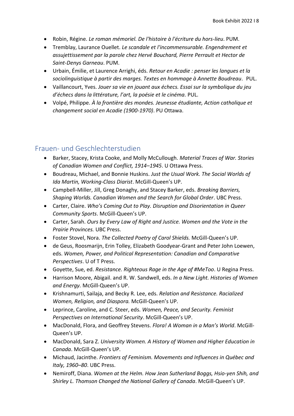- Robin, Régine. *Le roman mémoriel. De l'histoire à l'écriture du hors-lieu*. PUM.
- Tremblay, Laurance Ouellet. *Le scandale et l'incommensurable. Engendrement et assujettissement par la parole chez Hervé Bouchard, Pierre Perrault et Hector de Saint-Denys Garneau*. PUM.
- Urbain, Émilie, et Laurence Arrighi, éds. *Retour en Acadie : penser les langues et la sociolinguistique à partir des marges. Textes en hommage à Annette Boudreau*. PUL.
- Vaillancourt, Yves. *Jouer sa vie en jouant aux échecs. Essai sur la symbolique du jeu d'échecs dans la littérature, l'art, la poésie et le cinéma.* PUL.
- Volpé, Philippe. *À la frontière des mondes. Jeunesse étudiante, Action catholique et changement social en Acadie (1900-1970)*. PU Ottawa.

#### <span id="page-7-0"></span>Frauen- und Geschlechterstudien

- Barker, Stacey, Krista Cooke, and Molly McCullough. *Material Traces of War. Stories of Canadian Women and Conflict, 1914–1945*. U Ottawa Press.
- Boudreau, Michael, and Bonnie Huskins. *Just the Usual Work. The Social Worlds of Ida Martin, Working-Class Diarist*. McGill-Queen's UP.
- Campbell-Miller, Jill, Greg Donaghy, and Stacey Barker, eds. *Breaking Barriers, Shaping Worlds. Canadian Women and the Search for Global Order*. UBC Press.
- Carter, Claire. *Who's Coming Out to Play. Disruption and Disorientation in Queer Community Sports*. McGill-Queen's UP.
- Carter, Sarah. *Ours by Every Law of Right and Justice. Women and the Vote in the Prairie Provinces.* UBC Press.
- Foster Stovel, Nora. *The Collected Poetry of Carol Shields.* McGill-Queen's UP.
- de Geus, Roosmarijn, Erin Tolley, Elizabeth Goodyear-Grant and Peter John Loewen, eds. *Women, Power, and Political Representation: Canadian and Comparative Perspectives*. U of T Press.
- Goyette, Sue, ed. *Resistance. Righteous Rage in the Age of #MeToo*. U Regina Press.
- Harrison Moore, Abigail. and R. W. Sandwell, eds. *In a New Light. Histories of Women and Energy.* McGill-Queen's UP.
- Krishnamurti, Sailaja, and Becky R. Lee, eds. *Relation and Resistance. Racialized Women, Religion, and Diaspora.* McGill-Queen's UP.
- Leprince, Caroline, and C. Steer, eds. *Women, Peace, and Security. Feminist Perspectives on International Security*. McGill-Queen's UP.
- MacDonald, Flora, and Geoffrey Stevens. *Flora! A Woman in a Man's World*. McGill-Queen's UP.
- MacDonald, Sara Z. *University Women. A History of Women and Higher Education in Canada*. McGill-Queen's UP.
- Michaud, Jacinthe. *Frontiers of Feminism. Movements and Influences in Québec and Italy, 1960–80*. UBC Press.
- Nemiroff, Diana. *Women at the Helm. How Jean Sutherland Boggs, Hsio-yen Shih, and Shirley L. Thomson Changed the National Gallery of Canada*. McGill-Queen's UP.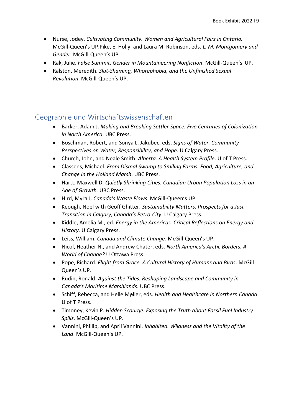- Nurse, Jodey. *Cultivating Community. Women and Agricultural Fairs in Ontario.* McGill-Queen's UP.Pike, E. Holly, and Laura M. Robinson, eds. *L. M. Montgomery and Gender*. McGill-Queen's UP.
- Rak, Julie. *False Summit. Gender in Mountaineering Nonfiction*. McGill-Queen's UP.
- Ralston, Meredith. *Slut-Shaming, Whorephobia, and the Unfinished Sexual Revolution*. McGill-Queen's UP.

#### <span id="page-8-0"></span>Geographie und Wirtschaftswissenschaften

- Barker, Adam J. *Making and Breaking Settler Space. Five Centuries of Colonization in North America*. UBC Press.
- Boschman, Robert, and Sonya L. Jakubec, eds. *Signs of Water. Community Perspectives on Water, Responsibility, and Hope*. U Calgary Press.
- Church, John, and Neale Smith. *Alberta. A Health System Profile*. U of T Press.
- Classens, Michael. *From Dismal Swamp to Smiling Farms. Food, Agriculture, and Change in the Holland Marsh*. UBC Press.
- Hartt, Maxwell D. *Quietly Shrinking Cities. Canadian Urban Population Loss in an Age of Growth.* UBC Press.
- Hird, Myra J. *Canada's Waste Flows*. McGill-Queen's UP.
- Keough, Noel with Geoff Ghitter. *Sustainability Matters. Prospects for a Just Transition in Calgary, Canada's Petro-City*. U Calgary Press.
- Kiddle, Amelia M., ed. *Energy in the Americas. Critical Reflections on Energy and History*. U Calgary Press.
- Leiss, William. *Canada and Climate Change.* McGill-Queen's UP.
- Nicol, Heather N., and Andrew Chater, eds. *North America's Arctic Borders. A World of Change?* U Ottawa Press.
- Pope, Richard. *Flight from Grace. A Cultural History of Humans and Birds*. McGill-Queen's UP.
- Rudin, Ronald. *Against the Tides. Reshaping Landscape and Community in Canada's Maritime Marshlands*. UBC Press.
- Schiff, Rebecca, and Helle Møller, eds. *Health and Healthcare in Northern Canada*. U of T Press.
- Timoney, Kevin P. *Hidden Scourge. Exposing the Truth about Fossil Fuel Industry Spills*. McGill-Queen's UP.
- Vannini, Phillip, and April Vannini. *Inhabited. Wildness and the Vitality of the Land*. McGill-Queen's UP.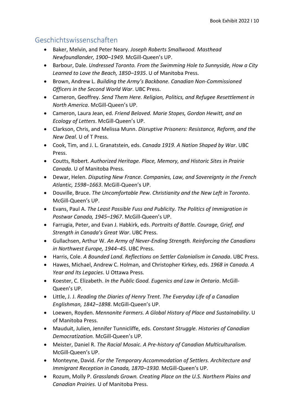# <span id="page-9-0"></span>Geschichtswissenschaften

- Baker, Melvin, and Peter Neary. *Joseph Roberts Smallwood. Masthead Newfoundlander, 1900–1949.* McGill-Queen's UP.
- Barbour, Dale. *Undressed Toronto. From the Swimming Hole to Sunnyside, How a City Learned to Love the Beach, 1850–1935*. U of Manitoba Press.
- Brown, Andrew L. *Building the Army's Backbone. Canadian Non-Commissioned Officers in the Second World War*. UBC Press.
- Cameron, Geoffrey. *Send Them Here. Religion, Politics, and Refugee Resettlement in North America*. McGill-Queen's UP.
- Cameron, Laura Jean, ed. *Friend Beloved. Marie Stopes, Gordon Hewitt, and an Ecology of Letters*. McGill-Queen's UP.
- Clarkson, Chris, and Melissa Munn. *Disruptive Prisoners: Resistance, Reform, and the New Deal.* U of T Press.
- Cook, Tim, and J. L. Granatstein, eds. *Canada 1919. A Nation Shaped by War*. UBC Press.
- Coutts, Robert. *Authorized Heritage. Place, Memory, and Historic Sites in Prairie Canada.* U of Manitoba Press.
- Dewar, Helen. *Disputing New France. Companies, Law, and Sovereignty in the French Atlantic, 1598–1663*. McGill-Queen's UP.
- Douville, Bruce. *The Uncomfortable Pew. Christianity and the New Left in Toronto*. McGill-Queen's UP.
- Evans, Paul A. *The Least Possible Fuss and Publicity. The Politics of Immigration in Postwar Canada, 1945–1967*. McGill-Queen's UP.
- Farrugia, Peter, and Evan J. Habkirk, eds. *Portraits of Battle. Courage, Grief, and Strength in Canada's Great War*. UBC Press.
- Gullachsen, Arthur W. *An Army of Never-Ending Strength. Reinforcing the Canadians in Northwest Europe, 1944–45*. UBC Press.
- Harris, Cole. *A Bounded Land. Reflections on Settler Colonialism in Canada*. UBC Press.
- Hawes, Michael, Andrew C. Holman, and Christopher Kirkey, eds. *1968 in Canada. A Year and Its Legacies*. U Ottawa Press.
- Koester, C. Elizabeth. *In the Public Good. Eugenics and Law in Ontario*. McGill-Queen's UP.
- Little, J. J. *Reading the Diaries of Henry Trent. The Everyday Life of a Canadian Englishman, 1842–1898*. McGill-Queen's UP.
- Loewen, Royden. *Mennonite Farmers. A Global History of Place and Sustainability*. U of Manitoba Press.
- Mauduit, Julien, Jennifer Tunnicliffe, eds. *Constant Struggle. Histories of Canadian Democratization.* McGill-Queen's UP.
- Meister, Daniel R. *The Racial Mosaic. A Pre-history of Canadian Multiculturalism*. McGill-Queen's UP.
- Monteyne, David. *For the Temporary Accommodation of Settlers. Architecture and Immigrant Reception in Canada, 1870–1930.* McGill-Queen's UP.
- Rozum, Molly P. *Grasslands Grown. Creating Place on the U.S. Northern Plains and Canadian Prairies.* U of Manitoba Press.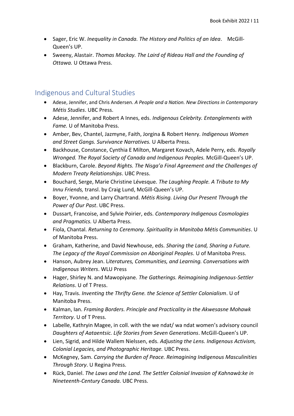- Sager, Eric W. *Inequality in Canada. The History and Politics of an Idea*. McGill-Queen's UP.
- Sweeny, Alastair. *Thomas Mackay. The Laird of Rideau Hall and the Founding of Ottawa.* U Ottawa Press.

#### <span id="page-10-0"></span>Indigenous and Cultural Studies

- Adese, Jennifer, and Chris Andersen. *A People and a Nation. New Directions in Contemporary Métis Studies*. UBC Press.
- Adese, Jennifer, and Robert A Innes, eds. *Indigenous Celebrity. Entanglements with Fame.* U of Manitoba Press.
- Amber, Bev, Chantel, Jazmyne, Faith, Jorgina & Robert Henry. *Indigenous Women and Street Gangs. Survivance Narratives.* U Alberta Press.
- Backhouse, Constance, Cynthia E Milton, Margaret Kovach, Adele Perry, eds. *Royally Wronged. The Royal Society of Canada and Indigenous Peoples.* McGill-Queen's UP.
- Blackburn, Carole. *Beyond Rights. The Nisga'a Final Agreement and the Challenges of Modern Treaty Relationships*. UBC Press.
- Bouchard, Serge, Marie Christine Lévesque. *The Laughing People. A Tribute to My Innu Friends,* transl. by Craig Lund, McGill-Queen's UP.
- Boyer, Yvonne, and Larry Chartrand. *Métis Rising. Living Our Present Through the Power of Our Past*. UBC Press.
- Dussart, Francoise, and Sylvie Poirier, eds. *Contemporary Indigenous Cosmologies and Pragmatics.* U Alberta Press.
- Fiola, Chantal. *Returning to Ceremony. Spirituality in Manitoba Métis Communities*. U of Manitoba Press.
- Graham, Katherine, and David Newhouse, eds. *Sharing the Land, Sharing a Future. The Legacy of the Royal Commission on Aboriginal Peoples.* U of Manitoba Press.
- Hanson, Aubrey Jean. L*iteratures, Communities, and Learning. Conversations with Indigenous Writers*. WLU Press
- Hager, Shirley N. and Mawopiyane. *The Gatherings. Reimagining Indigenous-Settler Relations*. U of T Press.
- Hay, Travis. *Inventing the Thrifty Gene. the Science of Settler Colonialism*. U of Manitoba Press.
- Kalman, Ian. *Framing Borders. Principle and Practicality in the Akwesasne Mohawk Territory*. U of T Press.
- Labelle, Kathryin Magee, in coll. with the we ndat/ wa ndat women's advisory council *Daughters of Aataentsic. Life Stories from Seven Generations*. McGill-Queen's UP.
- Lien, Sigrid, and Hilde Wallem Nielssen, eds. *Adjusting the Lens. Indigenous Activism, Colonial Legacies, and Photographic Heritage.* UBC Press.
- McKegney, Sam. *Carrying the Burden of Peace. Reimagining Indigenous Masculinities Through Story*. U Regina Press.
- Rück, Daniel. *The Laws and the Land. The Settler Colonial Invasion of Kahnawà:ke in Nineteenth-Century Canada.* UBC Press.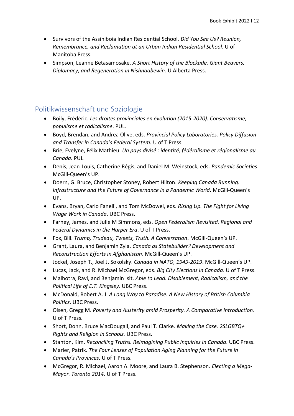- Survivors of the Assiniboia Indian Residential School. *Did You See Us? Reunion, Remembrance, and Reclamation at an Urban Indian Residential School*. U of Manitoba Press.
- Simpson, Leanne Betasamosake. *A Short History of the Blockade. Giant Beavers, Diplomacy, and Regeneration in Nishnaabewin.* U Alberta Press.

#### <span id="page-11-0"></span>Politikwissenschaft und Soziologie

- Boily, Frédéric. *Les droites provinciales en évolution (2015-2020). Conservatisme, populisme et radicalisme*. PUL.
- Boyd, Brendan, and Andrea Olive, eds. *Provincial Policy Laboratories. Policy Diffusion and Transfer in Canada's Federal System.* U of T Press.
- Brie, Evelyne, Félix Mathieu. *Un pays divisé : identité, fédéralisme et régionalisme au Canada.* PUL.
- Denis, Jean-Louis, Catherine Régis, and Daniel M. Weinstock, eds. *Pandemic Societies*. McGill-Queen's UP.
- Doern, G. Bruce, Christopher Stoney, Robert Hilton. *Keeping Canada Running. Infrastructure and the Future of Governance in a Pandemic World*. McGill-Queen's UP.
- Evans, Bryan, Carlo Fanelli, and Tom McDowel, eds. *Rising Up. The Fight for Living Wage Work in Canada*. UBC Press.
- Farney, James, and Julie M Simmons, eds. *Open Federalism Revisited. Regional and Federal Dynamics in the Harper Era*. U of T Press.
- Fox, Bill. *Trump, Trudeau, Tweets, Truth. A Conversation*. McGill-Queen's UP.
- Grant, Laura, and Benjamin Zyla. *Canada as Statebuilder? Development and Reconstruction Efforts in Afghanistan*. McGill-Queen's UP.
- Jockel, Joseph T., Joel J. Sokolsky. *Canada in NATO, 1949-2019*. McGill-Queen's UP.
- Lucas, Jack, and R. Michael McGregor, eds. *Big City Elections in Canada*. U of T Press.
- Malhotra, Ravi, and Benjamin Isit. *Able to Lead. Disablement, Radicalism, and the Political Life of E.T. Kingsley*. UBC Press.
- McDonald, Robert A. J. *A Long Way to Paradise. A New History of British Columbia Politics*. UBC Press.
- Olsen, Gregg M. *Poverty and Austerity amid Prosperity. A Comparative Introduction*. U of T Press.
- Short, Donn, Bruce MacDougall, and Paul T. Clarke. *Making the Case. 2SLGBTQ+ Rights and Religion in Schools.* UBC Press.
- Stanton, Kim. *Reconciling Truths. Reimagining Public Inquiries in Canada*. UBC Press.
- Marier, Patrik. *The Four Lenses of Population Aging Planning for the Future in Canada's Provinces.* U of T Press.
- McGregor, R. Michael, Aaron A. Moore, and Laura B. Stephenson. *Electing a Mega-Mayor. Toronto 2014*. U of T Press.